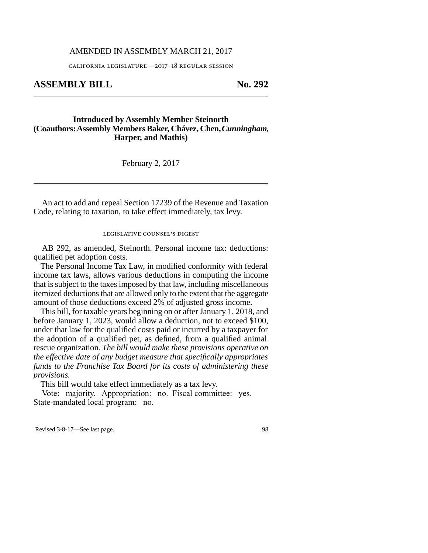## AMENDED IN ASSEMBLY MARCH 21, 2017

california legislature—2017–18 regular session

**ASSEMBLY BILL No. 292** 

## **Introduced by Assembly Member Steinorth (Coauthors: Assembly Members Baker, Chávez, Chen,***Cunningham,* **Harper, and Mathis)**

February 2, 2017

An act to add and repeal Section 17239 of the Revenue and Taxation Code, relating to taxation, to take effect immediately, tax levy.

legislative counsel's digest

AB 292, as amended, Steinorth. Personal income tax: deductions: qualified pet adoption costs.

The Personal Income Tax Law, in modified conformity with federal income tax laws, allows various deductions in computing the income that is subject to the taxes imposed by that law, including miscellaneous itemized deductions that are allowed only to the extent that the aggregate amount of those deductions exceed 2% of adjusted gross income.

This bill, for taxable years beginning on or after January 1, 2018, and before January 1, 2023, would allow a deduction, not to exceed \$100, under that law for the qualified costs paid or incurred by a taxpayer for the adoption of a qualified pet, as defined, from a qualified animal rescue organization. *The bill would make these provisions operative on the effective date of any budget measure that specifically appropriates funds to the Franchise Tax Board for its costs of administering these provisions.*

This bill would take effect immediately as a tax levy.

Vote: majority. Appropriation: no. Fiscal committee: yes. State-mandated local program: no.

Revised 3-8-17—See last page. 98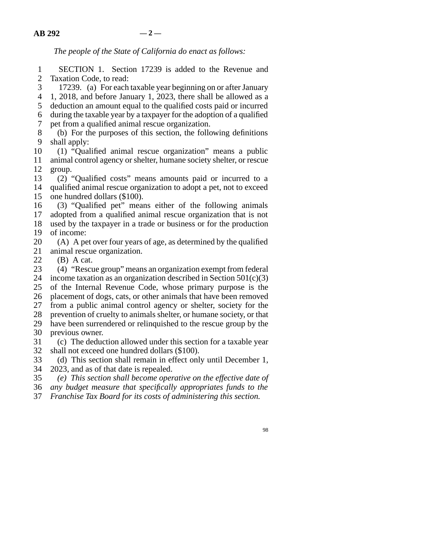*The people of the State of California do enact as follows:*

1 SECTION 1. Section 17239 is added to the Revenue and 2 Taxation Code, to read:

3 17239. (a) For each taxable year beginning on or after January

4 1, 2018, and before January 1, 2023, there shall be allowed as a

5 deduction an amount equal to the qualified costs paid or incurred line 6 during the taxable year by a taxpayer for the adoption of a qualified

7 pet from a qualified animal rescue organization.

8 (b) For the purposes of this section, the following definitions 9 shall apply:

10 (1) "Qualified animal rescue organization" means a public 11 animal control agency or shelter, humane society shelter, or rescue 12 group.

13 (2) "Qualified costs" means amounts paid or incurred to a 14 qualified animal rescue organization to adopt a pet, not to exceed 15 one hundred dollars (\$100).

16 (3) "Qualified pet" means either of the following animals 17 adopted from a qualified animal rescue organization that is not 18 used by the taxpayer in a trade or business or for the production 19 of income:

20 (A) A pet over four years of age, as determined by the qualified 21 animal rescue organization.

22 (B) A cat.<br>23 (4) "Rescu

(4) "Rescue group" means an organization exempt from federal 24 income taxation as an organization described in Section  $501(c)(3)$ 25 of the Internal Revenue Code, whose primary purpose is the 26 placement of dogs, cats, or other animals that have been removed 27 from a public animal control agency or shelter, society for the 28 prevention of cruelty to animals shelter, or humane society, or that 29 have been surrendered or relinguished to the rescue group by the 30 previous owner.

31 (c) The deduction allowed under this section for a taxable year 32 shall not exceed one hundred dollars (\$100).

33 (d) This section shall remain in effect only until December 1, 2023, and as of that date is repealed. 2023, and as of that date is repealed.

line 35 *(e) This section shall become operative on the effective date of*

line 36 *any budget measure that specifically appropriates funds to the*

line 37 *Franchise Tax Board for its costs of administering this section.*

98